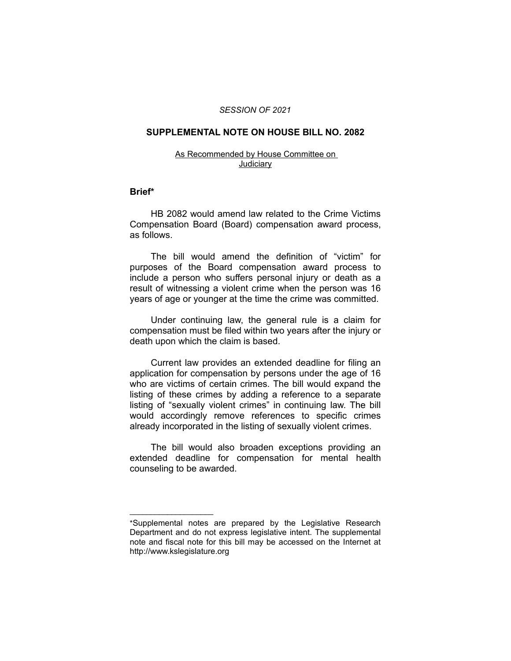#### *SESSION OF 2021*

### **SUPPLEMENTAL NOTE ON HOUSE BILL NO. 2082**

#### As Recommended by House Committee on **Judiciary**

#### **Brief\***

HB 2082 would amend law related to the Crime Victims Compensation Board (Board) compensation award process, as follows.

The bill would amend the definition of "victim" for purposes of the Board compensation award process to include a person who suffers personal injury or death as a result of witnessing a violent crime when the person was 16 years of age or younger at the time the crime was committed.

Under continuing law, the general rule is a claim for compensation must be filed within two years after the injury or death upon which the claim is based.

Current law provides an extended deadline for filing an application for compensation by persons under the age of 16 who are victims of certain crimes. The bill would expand the listing of these crimes by adding a reference to a separate listing of "sexually violent crimes" in continuing law. The bill would accordingly remove references to specific crimes already incorporated in the listing of sexually violent crimes.

The bill would also broaden exceptions providing an extended deadline for compensation for mental health counseling to be awarded.

 $\overline{\phantom{a}}$  , where  $\overline{\phantom{a}}$ 

<sup>\*</sup>Supplemental notes are prepared by the Legislative Research Department and do not express legislative intent. The supplemental note and fiscal note for this bill may be accessed on the Internet at http://www.kslegislature.org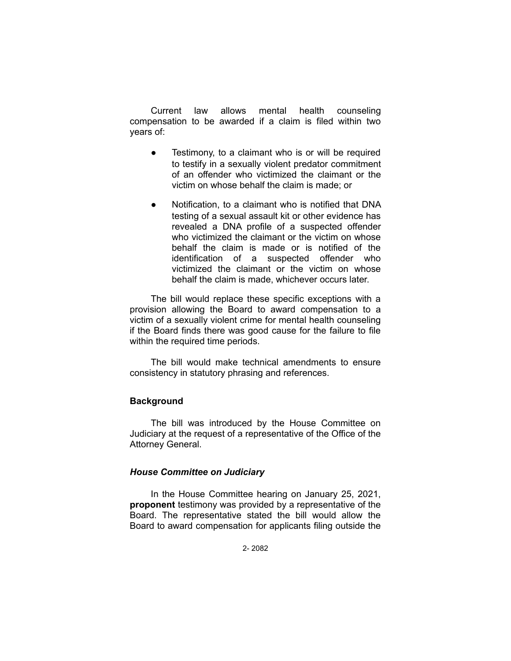Current law allows mental health counseling compensation to be awarded if a claim is filed within two years of:

- Testimony, to a claimant who is or will be required to testify in a sexually violent predator commitment of an offender who victimized the claimant or the victim on whose behalf the claim is made; or
- Notification, to a claimant who is notified that DNA testing of a sexual assault kit or other evidence has revealed a DNA profile of a suspected offender who victimized the claimant or the victim on whose behalf the claim is made or is notified of the identification of a suspected offender who victimized the claimant or the victim on whose behalf the claim is made, whichever occurs later.

The bill would replace these specific exceptions with a provision allowing the Board to award compensation to a victim of a sexually violent crime for mental health counseling if the Board finds there was good cause for the failure to file within the required time periods.

The bill would make technical amendments to ensure consistency in statutory phrasing and references.

## **Background**

The bill was introduced by the House Committee on Judiciary at the request of a representative of the Office of the Attorney General.

## *House Committee on Judiciary*

In the House Committee hearing on January 25, 2021, **proponent** testimony was provided by a representative of the Board. The representative stated the bill would allow the Board to award compensation for applicants filing outside the